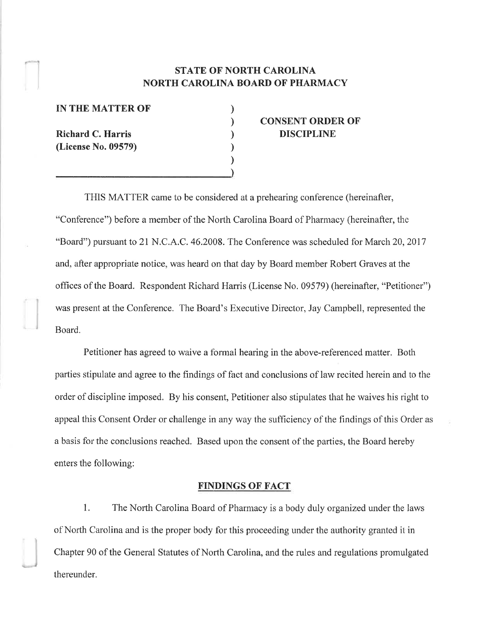### STATE OF NORTH CAROLINA NORTH CAROLINA BOARD OF PHARMACY

) ) ) ) ) )

IN THE MATTER OF

Richard C. Harris (License No. 09579)

I

## CONSENT ORDER OF DISCIPLINE

THIS MATTER came to be considered at a prehearing conference (hereinafter, "Conference") before a member of the North Carolina Board of Pharmacy (hereinafter, the "Board") pursuant to 21 N.C.A.C.46.2008. The Conference was scheduled for March 20,2017 and, after appropriate notice, was heard on that day by Board member Robert Graves at the offices of the Board. Respondent Richard Harris (License No. 09579) (hereinafter, "Petitioner") was present at the Conference. The Board's Executive Director, Jay Campbell, represented the Board.

Petitioner has agreed to waive a formal hearing in the above-referenced matter. Both parties stipulate and agree to the findings of fact and conclusions of law recited herein and to the order of discipline imposed. By his consent, Petitioner also stipulates that he waives his right to appeal this Consent Order or challenge in any way the sufficiency of the finclings of this Order as a basis for the conclusions reached. Based upon the consent of the parties, the Board hereby enters the following:

#### FINDINGS OF FACT

1. The North Carolina Board of Pharmacy is a body duly organized under the laws of North Carolina and is the proper body for this proceeding under the authority granted it in Chapter 90 of the General Statutes of North Carolina, and the rules and regulations promulgated thereunder.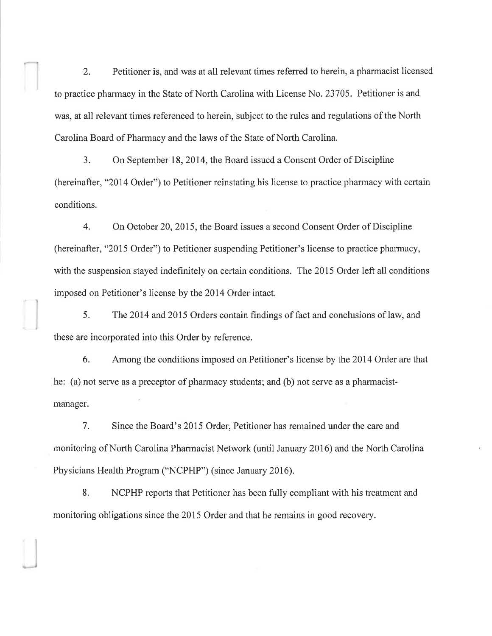2. Petitioner is, and was at all relevant times referred to herein, a pharmacist licensed to practice pharmacy in the State of North Carolina with License No. 23705. Petitioner is and was, at all relevant times referenced to herein, subject to the rules and regulations of the North Carolina Board of Pharmacy and the laws of the State of North Carolina.

3. On September 18, 2014, the Board issued a Consent Order of Discipline (hereinafter, "2014 Order") to Petitioner reinstating his license to practice pharrnacy with certain conditions.

4. On October 20,2015, the Board issues a second Consent Order of Discipline (hereinafter, "2015 Order") to Petitioner suspending Petitioner's license to practice pharmacy, with the suspension stayed indefinitely on certain conditions. The 2015 Order left all conditions imposed on Petitioner's license by the 2014 Order intact.

5. The2014 and 2015 Orders contain findings of fact and conclusions of law, and these are incorporated into this Order by reference.

6. Among the conditions imposed on Petitioner's license by the 2014 Order are that he: (a) not serve as a preceptor of pharmacy students; and (b) not serve as a pharmacistmanager.

7. Since the Board's 2015 Order, Petitioner has remained under the care and monitoring of North Carolina Phannacist Network (until January 2016) and the North Carolina Physicians Health Program ("NCPFIP") (since January 2016).

8. NCPHP reports that Petitioner has been fully compliant with his treatment and monitoring obligations since the 2015 Order and that he remains in good recovery.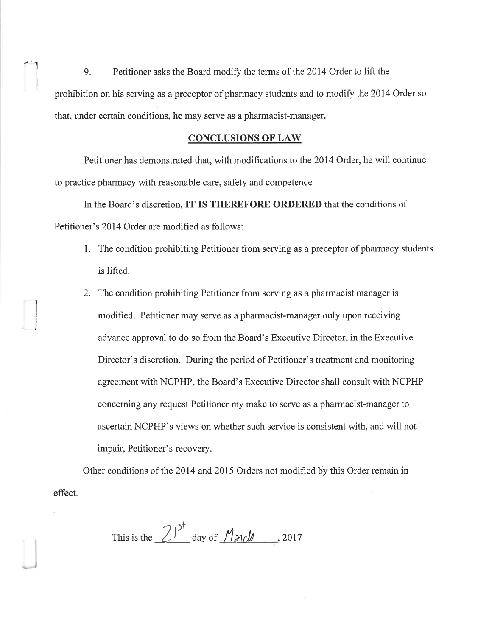9. Petitioner asks the Board modify the terms of the 2014 Order to lift the prohibition on his serving as a preceptor of pharmacy students and to modify the 2014 Order so that, under certain conditions, he may serve as a pharmacist-manager.

#### CONCLUSIONS OF LAW

Petitioner has demonstrated that, with modifications to the 2014 Order, he will continue to practice pharmacy with reasonable care, safety and competence

In the Board's discretion, IT IS THEREFORE ORDERED that the conditions of Petitioner's 2014 Order are modified as follows:

l

l

- 1. The condition prohibiting Petitioner from serving as a preceptor of pharmacy students is lifted.
- 2. I'he condition prohibiting Petitioner from serving as a pharmacist manager is modified. Petitioner may serve as a pharmacist-manager only upon receiving advance approval to do so from the Board's Executive Director, in the Executive Director's discretion. During the period of Petitioner's treatment and monitoring agreement with NCPHP, the Board's Executive Director shall consult with NCPHP concerning any request Petitioner my make to serve as a pharmacist-manager to ascertain NCPHP's views on whether such service is consistent with, and will not impair, Petitioner's recovery.

Other conditions of the 2014 and 2015 Orders not modified by this Order remain in effect.

This is the  $21^{5^f}$  day of  $M$   $\lambda$ rl,  $\mu$ , 2017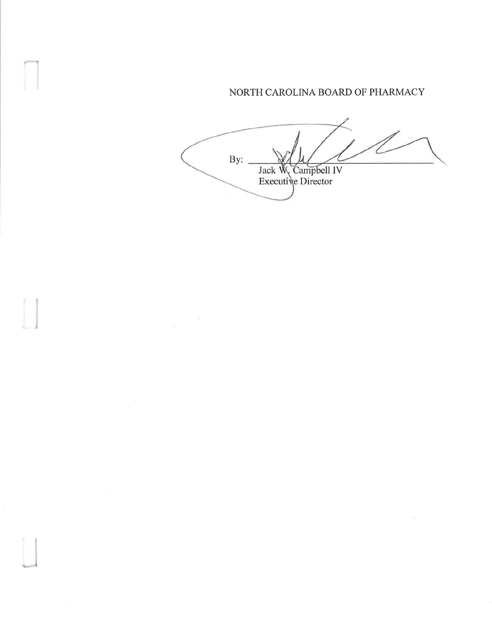# NORTH CAROLINA BOARD OF PHARMACY

Y2

ampbell IV Director By: Jack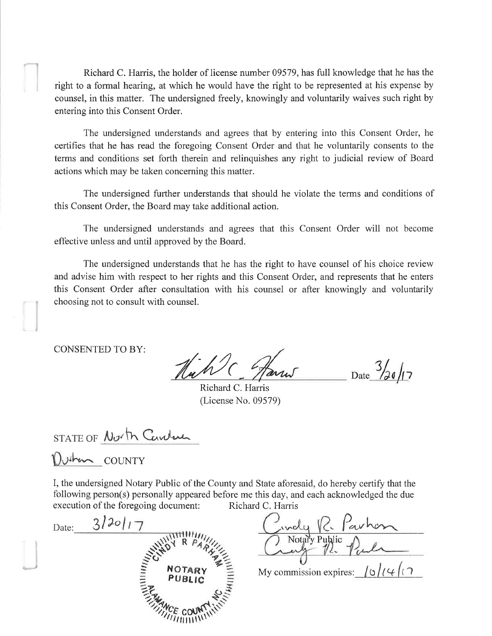Richard C. Harris, the holder of license number 09579, has full knowledge that he has the right to a formal hearing, at which he would have the right to be represented at his expense by counsel, in this matter. The undersigned freely, knowingly and voluntarily waives such right by entering into this Consent Order.

The undersigned understands and agrees that by entering into this Consent Order, he certifies that he has read the foregoing Consent Order and that he voluntarily consents to the terms and conditions set forth therein and relinquishes any right to judicial review of Board actions which may be taken concerning this matter.

The undersigned further understands that should he violate the terms and conditions of this Consent Order, the Board may take additional action.

The undersigned understands and agrees that this Consent Order will not become effective unless and until approved by the Board.

The undersigned understands that he has the right to have counsel of his choice review and advise him with respect to her rights and this Consent Order, and represents that he enters this Consent Order after consultation with his counsel or after knowingly and voluntarily choosing not to consult with counsel.

**CONSENTED TO BY:** 

Date  $\frac{3}{20}$ /17

Richard C. Harris (License No. 09579)

STATE OF North Carderen

Duton COUNTY

I, the undersigned Notary Public of the County and State aforesaid, do hereby certify that the following person(s) personally appeared before me this day, and each acknowledged the due execution of the foregoing document: Richard C. Harris

| Date: | 3/20117                        |
|-------|--------------------------------|
|       | AHHHHHH                        |
|       | <b>EXAMPLE COUNTRY SERVICE</b> |
|       |                                |
|       |                                |

Civily R. Parhon My commission expires:  $\int \varphi / \left( \varphi \right)$  (  $\gamma$